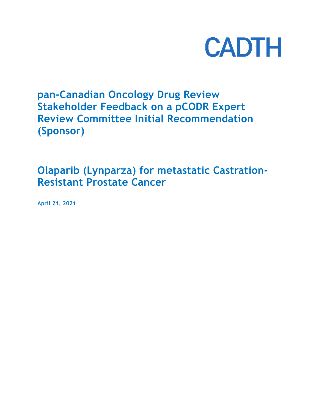

# **pan-Canadian Oncology Drug Review Stakeholder Feedback on a pCODR Expert Review Committee Initial Recommendation (Sponsor)**

## **Olaparib (Lynparza) for metastatic Castration-Resistant Prostate Cancer**

**April 21, 2021**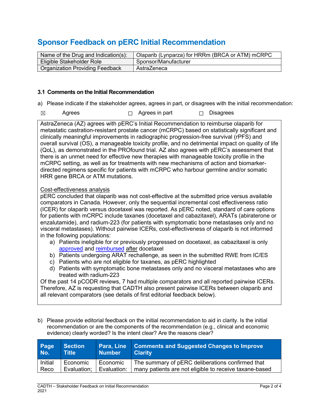### **Sponsor Feedback on pERC Initial Recommendation**

| Name of the Drug and Indication(s):    | Olaparib (Lynparza) for HRRm (BRCA or ATM) mCRPC |
|----------------------------------------|--------------------------------------------------|
| Eligible Stakeholder Role              | Sponsor/Manufacturer                             |
| <b>Organization Providing Feedback</b> | AstraZeneca                                      |

#### **3.1 Comments on the Initial Recommendation**

- a) Please indicate if the stakeholder agrees, agrees in part, or disagrees with the initial recommendation:
- ☒ Agrees ☐ Agrees in part ☐ Disagrees

AstraZeneca (AZ) agrees with pERC's Initial Recommendation to reimburse olaparib for metastatic castration-resistant prostate cancer (mCRPC) based on statistically significant and clinically meaningful improvements in radiographic progression-free survival (rPFS) and overall survival (OS), a manageable toxicity profile, and no detrimental impact on quality of life (QoL), as demonstrated in the PROfound trial. AZ also agrees with pERC's assessment that there is an unmet need for effective new therapies with manageable toxicity profile in the mCRPC setting, as well as for treatments with new mechanisms of action and biomarkerdirected regimens specific for patients with mCRPC who harbour germline and/or somatic HRR gene BRCA or ATM mutations.

#### Cost-effectiveness analysis

pERC concluded that olaparib was not cost-effective at the submitted price versus available comparators in Canada. However, only the sequential incremental cost effectiveness ratio (ICER) for olaparib versus docetaxel was reported. As pERC noted, standard of care options for patients with mCRPC include taxanes (docetaxel and cabazitaxel), ARATs (abiraterone or enzalutamide), and radium-223 (for patients with symptomatic bone metastases only and no visceral metastases). Without pairwise ICERs, cost-effectiveness of olaparib is not informed in the following populations:

- a) Patients ineligible for or previously progressed on docetaxel, as cabazitaxel is only [approved](https://products.sanofi.ca/en/jevtana.pdf) and [reimbursed](https://cuaj.ca/index.php/journal/article/view/7074/4792) after docetaxel
- b) Patients undergoing ARAT rechallenge, as seen in the submitted RWE from IC/ES
- c) Patients who are not eligible for taxanes, as pERC highlighted
- d) Patients with symptomatic bone metastases only and no visceral metastases who are treated with radium-223

Of the past 14 pCODR reviews, 7 had multiple comparators and all reported pairwise ICERs. Therefore, AZ is requesting that CADTH also present pairwise ICERs between olaparib and all relevant comparators (see details of first editorial feedback below).

b) Please provide editorial feedback on the initial recommendation to aid in clarity. Is the initial recommendation or are the components of the recommendation (e.g., clinical and economic evidence) clearly worded? Is the intent clear? Are the reasons clear?

| Page<br>No. | <b>Section</b><br><b>Title</b> | <b>Number</b> | <b>Para, Line Comments and Suggested Changes to Improve</b><br><b>Clarity</b> |
|-------------|--------------------------------|---------------|-------------------------------------------------------------------------------|
| Initial     | Economic                       | Economic      | The summary of pERC deliberations confirmed that                              |
| Reco        | Evaluation:                    | Evaluation:   | many patients are not eligible to receive taxane-based                        |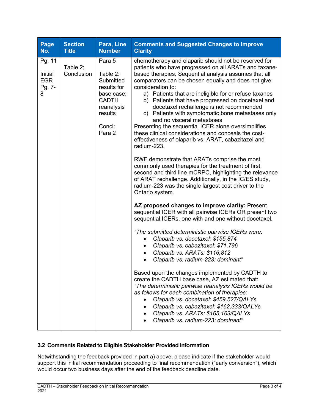| Page<br>No.                                    | <b>Section</b><br><b>Title</b> | Para, Line<br><b>Number</b>                                                                                               | <b>Comments and Suggested Changes to Improve</b><br><b>Clarity</b>                                                                                                                                                                                                                                                                                                                                                                                                                                                                                                                                                                                                                   |
|------------------------------------------------|--------------------------------|---------------------------------------------------------------------------------------------------------------------------|--------------------------------------------------------------------------------------------------------------------------------------------------------------------------------------------------------------------------------------------------------------------------------------------------------------------------------------------------------------------------------------------------------------------------------------------------------------------------------------------------------------------------------------------------------------------------------------------------------------------------------------------------------------------------------------|
| Pg. 11<br>Initial<br><b>EGR</b><br>Pg. 7-<br>8 | Table 2;<br>Conclusion         | Para 5<br>Table 2:<br>Submitted<br>results for<br>base case;<br><b>CADTH</b><br>reanalysis<br>results<br>Concl:<br>Para 2 | chemotherapy and olaparib should not be reserved for<br>patients who have progressed on all ARATs and taxane-<br>based therapies. Sequential analysis assumes that all<br>comparators can be chosen equally and does not give<br>consideration to:<br>a) Patients that are ineligible for or refuse taxanes<br>b) Patients that have progressed on docetaxel and<br>docetaxel rechallenge is not recommended<br>c) Patients with symptomatic bone metastases only<br>and no visceral metastases<br>Presenting the sequential ICER alone oversimplifies<br>these clinical considerations and conceals the cost-<br>effectiveness of olaparib vs. ARAT, cabazitazel and<br>radium-223. |
|                                                |                                |                                                                                                                           | RWE demonstrate that ARATs comprise the most<br>commonly used therapies for the treatment of first,<br>second and third line mCRPC, highlighting the relevance<br>of ARAT rechallenge. Additionally, in the IC/ES study,<br>radium-223 was the single largest cost driver to the<br>Ontario system.                                                                                                                                                                                                                                                                                                                                                                                  |
|                                                |                                |                                                                                                                           | AZ proposed changes to improve clarity: Present<br>sequential ICER with all pairwise ICERs OR present two<br>sequential ICERs, one with and one without docetaxel.                                                                                                                                                                                                                                                                                                                                                                                                                                                                                                                   |
|                                                |                                |                                                                                                                           | "The submitted deterministic pairwise ICERs were:<br>Olaparib vs. docetaxel: \$155,874<br>Olaparib vs. cabazitaxel: \$71,796<br>Olaparib vs. ARATs: \$116,812<br>$\bullet$<br>Olaparib vs. radium-223: dominant"                                                                                                                                                                                                                                                                                                                                                                                                                                                                     |
|                                                |                                |                                                                                                                           | Based upon the changes implemented by CADTH to<br>create the CADTH base case, AZ estimated that:<br>"The deterministic pairwise reanalysis ICERs would be<br>as follows for each combination of therapies:<br>Olaparib vs. docetaxel: \$459,527/QALYs<br>Olaparib vs. cabazitaxel: \$162,333/QALYs<br>Olaparib vs. ARATs: \$165,163/QALYs<br>$\bullet$<br>Olaparib vs. radium-223: dominant"                                                                                                                                                                                                                                                                                         |

### **3.2 Comments Related to Eligible Stakeholder Provided Information**

Notwithstanding the feedback provided in part a) above, please indicate if the stakeholder would support this initial recommendation proceeding to final recommendation ("early conversion"), which would occur two business days after the end of the feedback deadline date.